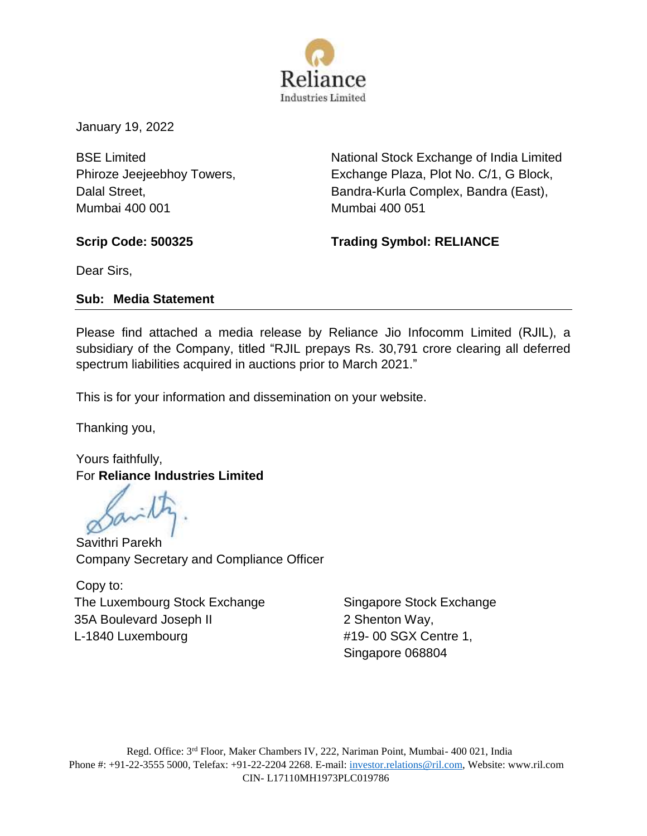

January 19, 2022

BSE Limited Phiroze Jeejeebhoy Towers, Dalal Street, Mumbai 400 001

National Stock Exchange of India Limited Exchange Plaza, Plot No. C/1, G Block, Bandra-Kurla Complex, Bandra (East), Mumbai 400 051

**Scrip Code: 500325 Trading Symbol: RELIANCE** 

Dear Sirs,

## **Sub: Media Statement**

Please find attached a media release by Reliance Jio Infocomm Limited (RJIL), a subsidiary of the Company, titled "RJIL prepays Rs. 30,791 crore clearing all deferred spectrum liabilities acquired in auctions prior to March 2021."

This is for your information and dissemination on your website.

Thanking you,

Yours faithfully, For **Reliance Industries Limited**

Savithri Parekh Company Secretary and Compliance Officer

Copy to: The Luxembourg Stock Exchange 35A Boulevard Joseph II L-1840 Luxembourg

Singapore Stock Exchange 2 Shenton Way, #19- 00 SGX Centre 1, Singapore 068804